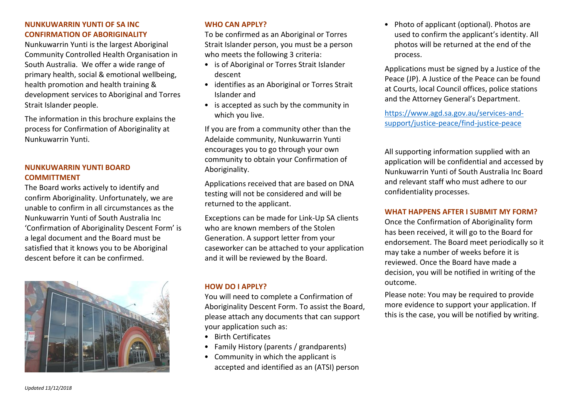# **NUNKUWARRIN YUNTI OF SA INC CONFIRMATION OF ABORIGINALITY**

Nunkuwarrin Yunti is the largest Aboriginal Community Controlled Health Organisation in South Australia. We offer a wide range of primary health, social & emotional wellbeing, health promotion and health training & development services to Aboriginal and Torres Strait Islander people.

The information in this brochure explains the process for Confirmation of Aboriginality at Nunkuwarrin Yunti.

# **NUNKUWARRIN YUNTI BOARD COMMITTMENT**

The Board works actively to identify and confirm Aboriginality. Unfortunately, we are unable to confirm in all circumstances as the Nunkuwarrin Yunti of South Australia Inc 'Confirmation of Aboriginality Descent Form' is a legal document and the Board must be satisfied that it knows you to be Aboriginal descent before it can be confirmed.



# **WHO CAN APPLY?**

To be confirmed as an Aboriginal or Torres Strait Islander person, you must be a person who meets the following 3 criteria:

- is of Aboriginal or Torres Strait Islander descent
- identifies as an Aboriginal or Torres Strait Islander and
- is accepted as such by the community in which you live.

If you are from a community other than the Adelaide community, Nunkuwarrin Yunti encourages you to go through your own community to obtain your Confirmation of Aboriginality.

Applications received that are based on DNA testing will not be considered and will be returned to the applicant.

Exceptions can be made for Link-Up SA clients who are known members of the Stolen Generation. A support letter from your caseworker can be attached to your application and it will be reviewed by the Board.

#### **HOW DO I APPLY?**

You will need to complete a Confirmation of Aboriginality Descent Form. To assist the Board, please attach any documents that can support your application such as:

- Birth Certificates
- Family History (parents / grandparents)
- Community in which the applicant is accepted and identified as an (ATSI) person

• Photo of applicant (optional). Photos are used to confirm the applicant's identity. All photos will be returned at the end of the process.

Applications must be signed by a Justice of the Peace (JP). A Justice of the Peace can be found at Courts, local Council offices, police stations and the Attorney General's Department.

[https://www.agd.sa.gov.au/services-and](https://www.agd.sa.gov.au/services-and-support/justice-peace/find-justice-peace)[support/justice-peace/find-justice-peace](https://www.agd.sa.gov.au/services-and-support/justice-peace/find-justice-peace)

All supporting information supplied with an application will be confidential and accessed by Nunkuwarrin Yunti of South Australia Inc Board and relevant staff who must adhere to our confidentiality processes.

#### **WHAT HAPPENS AFTER I SUBMIT MY FORM?**

Once the Confirmation of Aboriginality form has been received, it will go to the Board for endorsement. The Board meet periodically so it may take a number of weeks before it is reviewed. Once the Board have made a decision, you will be notified in writing of the outcome.

Please note: You may be required to provide more evidence to support your application. If this is the case, you will be notified by writing.